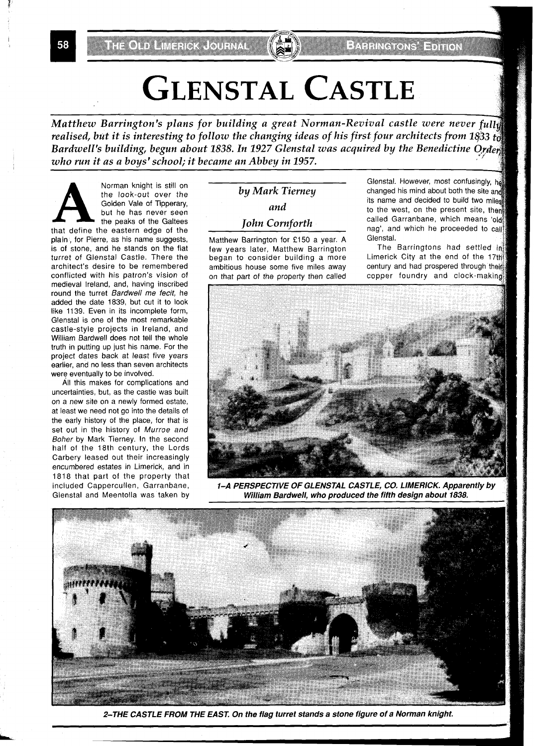# **GLENSTAL CASTLE**

Matthew Barrington's plans for building a great Norman-Revival castle were never full realised, but it is interesting to follow the changing ideas of his first four architects from 1833  $t_0$ Bardwell's building, begun about 1838. In 1927 Glenstal was acquired by the Benedictine Order, who run it as a boys' school; it became an Abbey in 1957.

Norman knight is still on<br>the look-out over the<br>Golden Vale of Tipperary,<br>but he has never seen<br>the peaks of the Galtees<br>that define the eastern edge of the the look-out over the Golden Vale of Tipperary, but he has never seen the peaks of the Galtees plain , for Pierre, as his name suggests, is of stone, and he stands on the flat turret of Glenstal Castle. There the architect's desire to be remembered conflicted with his patron's vision of medieval Ireland, and, having inscribed round the turret Bardwell me fecit, he added the date 1839, but cut it to look like 1139. Even in its incomplete form, Glenstal is one of the most remarkable castle-style projects in Ireland, and William Bardwell does not tell the whole truth in putting up just his name. For the project dates back at least five years earlier, and no less than seven architects were eventually to be involved.

All this makes for complications and uncertainties, but, as the castle was built on a new site on a newly formed estate, at least we need not go into the details of the early history of the place, for that is set out in the history of Murroe and Boher by Mark Tierney. In the second half of the 18th century, the Lords Carbery leased out their increasingly encumbered estates in Limerick, and in 1818 that part of the property that included Cappercullen, Garranbane, Glenstal and Meentolla was taken by

Matthew Barrington for £150 a year. A Glenstal.<br>few years later. Matthew Barrington The began to consider building a more ambitious house some five miles away century and had prospered through their on that part of the property then called copper foundry and clock-making

Glenstal. However, most confusingly, h by Mark Tierney changed his mind about both the site and<br>its name and decided to build two miles **and** to the west, on the present site, then *John Cornforth* **called Garranbane**, which means 'old nag', and which he proceeded to call

The Barringtons had settled in Limerick City at the end of the 17th



**l-A PERSPECTIVE OF GLENSTAL CASTLE, CO, LIMERICK. Apparently by**  William Bardwell, who produced the fifth design about 1838.



**2-THE CASTLE FROM THE EAST. On the flag turret stands a stone figure of a Norman knight.** 

58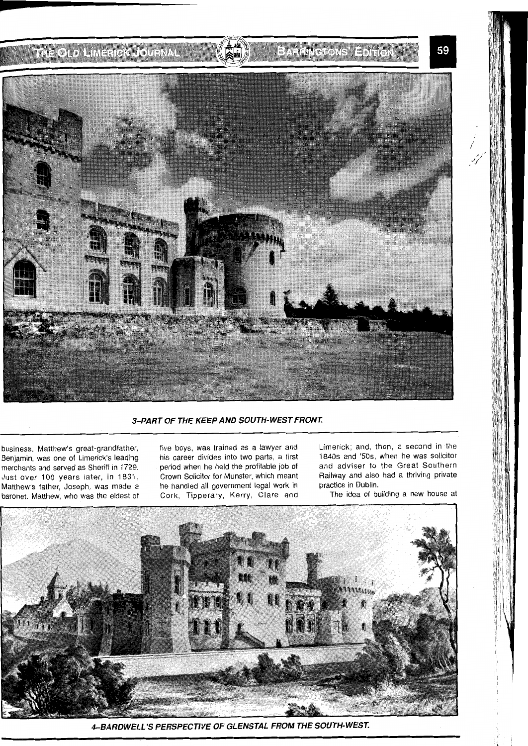

## 3-PART OF THE KEEP AND SOUTH-WEST FRONT.

business. Matthew's great-grandfather, Benjamin, was one of Limerick's leading merchants and served as Sheriff in 1729. Just over 100 years later, in 1831, Matthew's father, Joseph, was made a baronet. Matthew, who was the eldest of five boys, was trained as a lawyer and his career divides into two parts, a first period when he held the profitable job of Crown Solicitor for Munster, which meant he handled all government legal work in Cork, Tipperary, Kerry, Clare and

Limerick; and, then, a second in the 1840s and '50s, when he was solicitor and adviser to the Great Southern Railway and also had a thriving private practice in Dublin.

The idea of building a new house at



4-BARDWELL'S PERSPECTIVE OF GLENSTAL FROM THE SOUTH-WEST.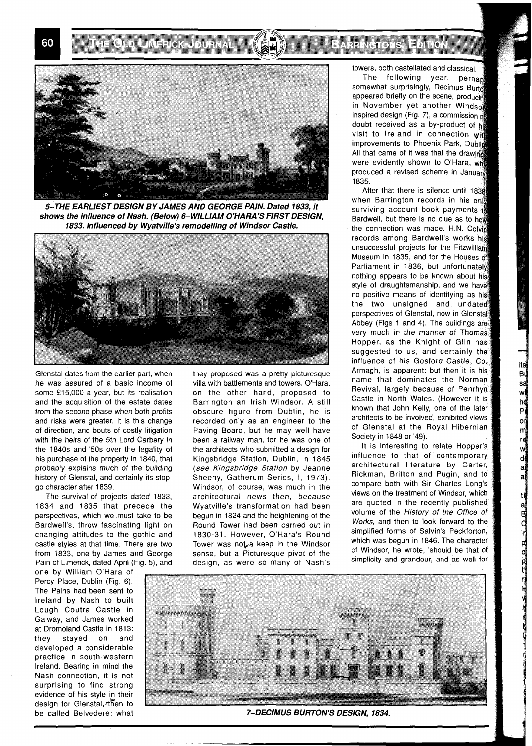**THORN MERCA GUERA** 

## **EXPERIMENT EDITOR**



5-THE EARLIEST DESIGN BY JAMES AND GEORGE PAIN. Dated 1833, it shows the influence of Nash. (Below) 6-WILLIAM O'HARA'S FIRST DESIGN, 1833. Influenced by Wyatville's remodelling of Windsor Castle.



Glenstal dates from the earlier part, when he was assured of a basic income of some £15,000 a year, but its realisation and the acquisition of the estate dates from the second phase when both profits and risks were greater. It is this change of direction, and bouts of costly litigation with the heirs of the 5th Lord Carbery in the 1840s and '50s over the legality of his purchase of the property in 1840, that probably explains much of the building history of Glenstal, and certainly its stopgo character after 1839.

The survival of projects dated 1833, 1834 and 1835 that precede the perspectives, which we must take to be Bardwell's, throw fascinating light on changing attitudes to the gothic and castle styles at that time. There are two from 1833, one by James and George Pain of Limerick, dated April (Fig. 5), and

one by William O'Hara of Percy Place, Dublin (Fig. 6). The Pains had been sent to Ireland by Nash to built Lough Coutra Castle in Galway, and James worked at Dromoland Castle in 1813: they stayed on and developed a considerable practice in south-western Ireland. Bearing in mind the Nash connection, it is not surprising to find strong evidence of his style in their design for Glenstal, <sup>then</sup> to

they proposed was a pretty picturesque villa with battlements and towers. O'Hara, on the other hand, proposed to Barrington an Irish Windsor. A still obscure figure from Dublin, he is recorded only as an engineer to the Paving Board, but he may well have been a railway man, for he was one of the architects who submitted a design for Kingsbridge Station, Dublin, in 1845 (see Kingsbridge *Station* by Jeanne Sheehy, Gatherum Series, 1, 1973). Windsor, of course, was much in the architectural news then, because Wyatville's transformation had been begun in 1824 and the heightening of the Round Tower had been carried out in 1830-31. However, O'Hara's Round Tower was not a keep in the Windsor sense, but a Picturesque pivot of the design, as were so many of Nash's

towers, both castellated and classical.

The following year, perhant somewhat surprisingly, Decimus Burta appeared briefly on the scene, producing in November yet another Windson inspired design (Fig. 7), a commission at doubt received as a by-product of  $h$ visit to Ireland in connection with improvements to Phoenix Park, Dublin All that came of it was that the drawing were evidently shown to O'Hara, whe produced a revised scheme in January 1835.

After that there is silence until 1838, when Barrington records in his on surviving account book payments to Bardwell, but there is no clue as to how the connection was made. H.N. Colvin records among Bardwell's works his unsuccessful projects for the Fitzwilliam Museum in 1835, and for the Houses of Parliament in 1836, but unfortunately nothing appears to be known about his style of draughtsmanship, and we have no positive means of identifying as his the two unsigned and undated perspectives of Glenstal, now in Glenstal Abbey (Figs 1 and 4). The buildings are very much in the manner of Thomas Hopper, as the Knight of Glin has suggested to us, and certainly the influence of his Gosford Castle, Co. Armagh, is apparent; but then it is his name that dominates the Norman Revival, largely because of Penrhyn Castle in North Wales. (However it is known that John Kelly, one of the later architects to be involved, exhibited views of Glenstal at the Royal Hibernian Society in 1848 or '49).

its<br>Bu<br>sa<br>wl

 $\frac{h}{P}$ оļ m

wl<br>ad<br>ad

tŀj

 $= 7.075$  SO  $\overline{m}$   $\overline{p}$ 

It is interesting to relate Hopper's influence to that of contemporary architectural literature by Carter, Rickman, Britton and Pugin, and to compare both with Sir Charles Long's views on the treatment of Windsor, which are quoted in the recently published volume of the History of the Office of Works, and then to look forward to the simplified forms of Salvin's Peckforton, which was begun in 1846. The character of Windsor, he wrote, 'should be that of simplicity and grandeur, and as well for



be called Belvedere: what **7-DECIMUS BURTON'S DESIGN, 1834.**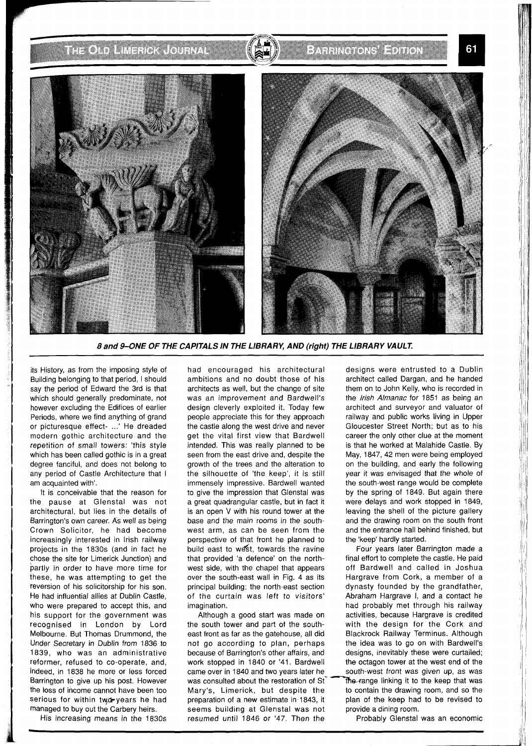**THOMA** MARK (COUNAL

61





**8 and 9-ONE OF THE CAPITALS IN THE LIBRARY, AND (right) THE LIBRARY VAULT.** 

its History, as from the imposing style of Building belonging to that period, I should say the period of Edward the 3rd is that which should generally predominate, not however excluding the Edifices of earlier Periods, where we find anything of grand or picturesque effect- ...' He dreaded modern gothic architecture and the repetition of small towers: 'this style which has been called gothic is in a great degree fanciful, and does not belong to any period of Castle Architecture that I am acquainted with'.

It is conceivable that the reason for the pause at Glenstal was not architectural, but lies in the details of Barrington's own career. As well as being Crown Solicitor, he had become increasingly interested in lrish railway projects in the 1830s (and in fact he chose the site for Limerick Junction) and partly in order to have more time for these, he was attempting to get the reversion of his solicitorship for his son. He had influential allies at Dublin Castle, who were prepared to accept this, and his support for the government was recognised in London by Lord Melbourne. But Thomas Drummond, the Under Secretary in Dublin from 1836 to 1839, who was an administrative reformer, refused to co-operate, and, indeed, in 1838 he more or less forced Barrington to give up his post. However the loss of income cannot have been too serious for within twd-years he had managed to buy out the Carbery heirs.

His increasing means in the 1830s

had encouraged his architectural ambitions and no doubt those of his architects as well, but the change of site was an improvement and Bardwell's design cleverly exploited it. Today few people appreciate this for they approach the castle along the west drive and never get the vital first view that Bardwell intended. This was really planned to be seen from the east drive and, despite the growth of the trees and the alteration to the silhouette of 'the keep', it is still immensely impressive. Bardwell wanted to give the impression that Glenstal was a great quadrangular castle, but in fact it is an open V with his round tower at the base and the main rooms in the southwest arm, as can be seen from the perspective of that front he planned to build east to west, towards the ravine that provided 'a defence' on the northwest side, with the chapel that appears over the south-east wall in Fig. 4 as its principal building; the north-east section of the curtain was left to visitors' imagination.

Although a good start was made on the south tower and part of the southeast front as far as the gatehouse, all did not go according to plan, perhaps because of Barrington's other affairs, and work stopped in 1840 or '41. Bardwell came over in 1840 and two vears later he was consulted about the restoration of St<sup>- The</sup>-range linking it to the keep that was Mary's, Limerick, but despite the to contain the drawing room, and so the preparation of a new estimate in 1843, it plan of the keep had to be revised to seems building at Glenstal was not provide a dining room. resumed until 1846 or '47. Then the Probably Glenstal was an economic

designs were entrusted to a Dublin architect called Dargan, and he handed them on to John Kelly, who is recorded in the Irish Almanac for 1851 as being an architect and surveyor and valuator of railway and public works living in Upper Gloucester Street North; but as to his career the only other clue at the moment is that he worked at Malahide Castle. By May, 1847,42 men were being employed on the building, and early the following year it was envisaged that the whole of the south-west range would be complete by the spring of 1849. But again there were delays and work stopped in 1849, leaving the shell of the picture gallery and the drawing room on the south front and the entrance hall behind finished, but the 'keep' hardly started.

Four years later Barrington made a final effort to complete the castle. He paid off Bardwell and called in Joshua Hargrave from Cork, a member of a dynasty founded by the grandfather, Abraham Hargrave I, and a contact he had probably met through his railway activities, because Hargrave is credited with the design for the Cork and Blackrock Railway Terminus. Although the idea was to go on with Bardwell's designs, inevitably these were curtailed; the octagon tower at the west end of the south-west front was qiven up, as was plan of the keep had to be revised to